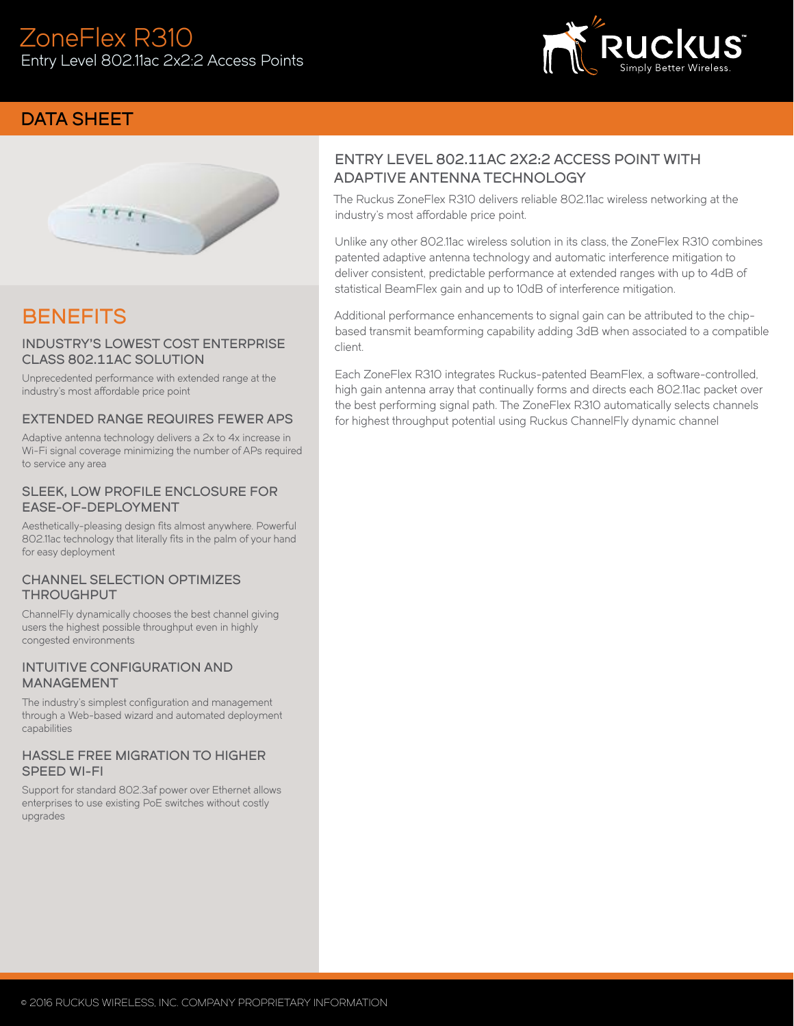

## DATA SHEET



# **BENEFITS**

#### INDUSTRY'S LOWEST COST ENTERPRISE CLASS 802.11AC SOLUTION

Unprecedented performance with extended range at the industry's most affordable price point

#### EXTENDED RANGE REQUIRES FEWER APS

Adaptive antenna technology delivers a 2x to 4x increase in Wi-Fi signal coverage minimizing the number of APs required to service any area

#### SLEEK, LOW PROFILE ENCLOSURE FOR EASE-OF-DEPLOYMENT

Aesthetically-pleasing design fits almost anywhere. Powerful 802.11ac technology that literally fits in the palm of your hand for easy deployment

#### CHANNEL SELECTION OPTIMIZES THROUGHPUT

ChannelFly dynamically chooses the best channel giving users the highest possible throughput even in highly congested environments

#### INTUITIVE CONFIGURATION AND MANAGEMENT

The industry's simplest configuration and management through a Web-based wizard and automated deployment capabilities

#### HASSLE FREE MIGRATION TO HIGHER SPEED WI-FI

Support for standard 802.3af power over Ethernet allows enterprises to use existing PoE switches without costly upgrades

## ENTRY LEVEL 802.11AC 2X2:2 ACCESS POINT WITH ADAPTIVE ANTENNA TECHNOLOGY

The Ruckus ZoneFlex R310 delivers reliable 802.11ac wireless networking at the industry's most affordable price point.

Unlike any other 802.11ac wireless solution in its class, the ZoneFlex R310 combines patented adaptive antenna technology and automatic interference mitigation to deliver consistent, predictable performance at extended ranges with up to 4dB of statistical BeamFlex gain and up to 10dB of interference mitigation.

Additional performance enhancements to signal gain can be attributed to the chipbased transmit beamforming capability adding 3dB when associated to a compatible client.

Each ZoneFlex R310 integrates Ruckus-patented BeamFlex, a software-controlled, high gain antenna array that continually forms and directs each 802.11ac packet over the best performing signal path. The ZoneFlex R310 automatically selects channels for highest throughput potential using Ruckus ChannelFly dynamic channel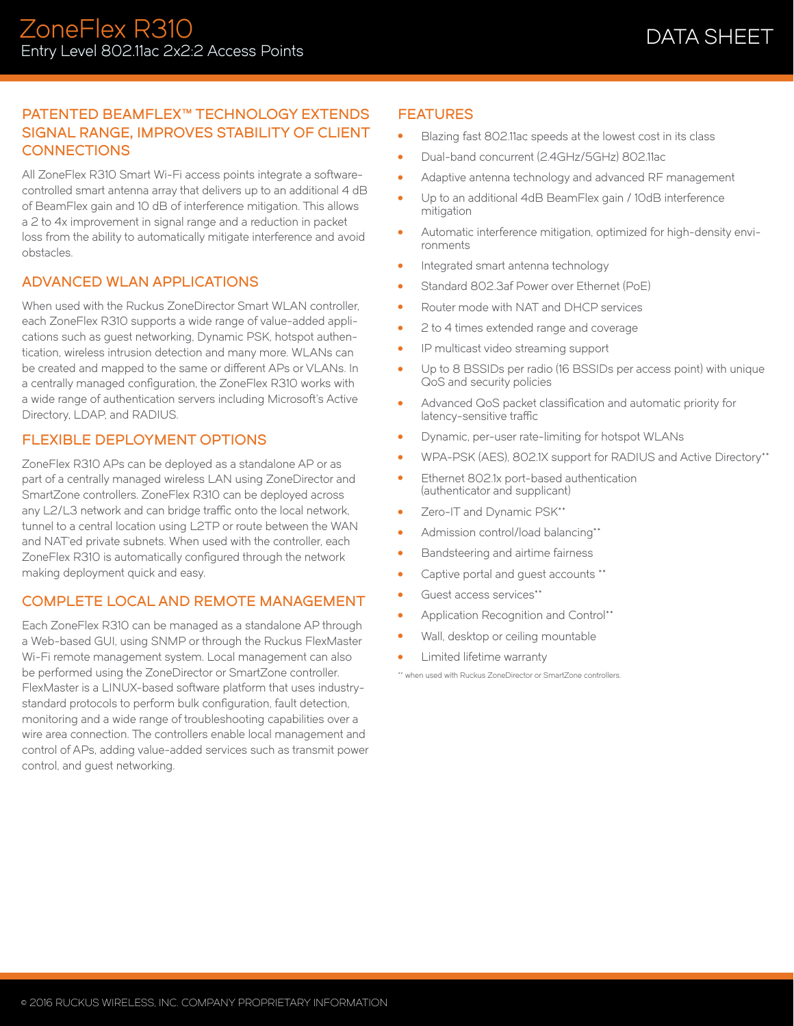## PATENTED BEAMFLEX™ TECHNOLOGY EXTENDS SIGNAL RANGE, IMPROVES STABILITY OF CLIENT **CONNECTIONS**

All ZoneFlex R310 Smart Wi-Fi access points integrate a softwarecontrolled smart antenna array that delivers up to an additional 4 dB of BeamFlex gain and 10 dB of interference mitigation. This allows a 2 to 4x improvement in signal range and a reduction in packet loss from the ability to automatically mitigate interference and avoid obstacles.

#### ADVANCED WLAN APPLICATIONS

When used with the Ruckus ZoneDirector Smart WLAN controller, each ZoneFlex R310 supports a wide range of value-added applications such as guest networking, Dynamic PSK, hotspot authentication, wireless intrusion detection and many more. WLANs can be created and mapped to the same or different APs or VLANs. In a centrally managed configuration, the ZoneFlex R310 works with a wide range of authentication servers including Microsoft's Active Directory, LDAP, and RADIUS.

## FLEXIBLE DEPLOYMENT OPTIONS

ZoneFlex R310 APs can be deployed as a standalone AP or as part of a centrally managed wireless LAN using ZoneDirector and SmartZone controllers. ZoneFlex R310 can be deployed across any L2/L3 network and can bridge traffic onto the local network, tunnel to a central location using L2TP or route between the WAN and NAT'ed private subnets. When used with the controller, each ZoneFlex R310 is automatically configured through the network making deployment quick and easy.

## COMPLETE LOCAL AND REMOTE MANAGEMENT

Each ZoneFlex R310 can be managed as a standalone AP through a Web-based GUI, using SNMP or through the Ruckus FlexMaster Wi-Fi remote management system. Local management can also be performed using the ZoneDirector or SmartZone controller. FlexMaster is a LINUX-based software platform that uses industrystandard protocols to perform bulk configuration, fault detection, monitoring and a wide range of troubleshooting capabilities over a wire area connection. The controllers enable local management and control of APs, adding value-added services such as transmit power control, and guest networking.

## **FEATURES**

- Blazing fast 802.11ac speeds at the lowest cost in its class
- Dual-band concurrent (2.4GHz/5GHz) 802.11ac
- Adaptive antenna technology and advanced RF management
- Up to an additional 4dB BeamFlex gain / 10dB interference mitigation
- Automatic interference mitigation, optimized for high-density environments
- Integrated smart antenna technology
- Standard 802.3af Power over Ethernet (PoE)
- Router mode with NAT and DHCP services
- 2 to 4 times extended range and coverage
- IP multicast video streaming support
- Up to 8 BSSIDs per radio (16 BSSIDs per access point) with unique QoS and security policies
- Advanced QoS packet classification and automatic priority for latency-sensitive traffic
- Dynamic, per-user rate-limiting for hotspot WLANs
- WPA-PSK (AES), 802.1X support for RADIUS and Active Directory\*\*
- Ethernet 802.1x port-based authentication (authenticator and supplicant)
- Zero-IT and Dynamic PSK\*\*
- Admission control/load balancing\*\*
- Bandsteering and airtime fairness
- Captive portal and guest accounts \*\*
- Guest access services\*\*
- Application Recognition and Control\*\*
- Wall, desktop or ceiling mountable
- Limited lifetime warranty

\*\* when used with Ruckus ZoneDirector or SmartZone controllers.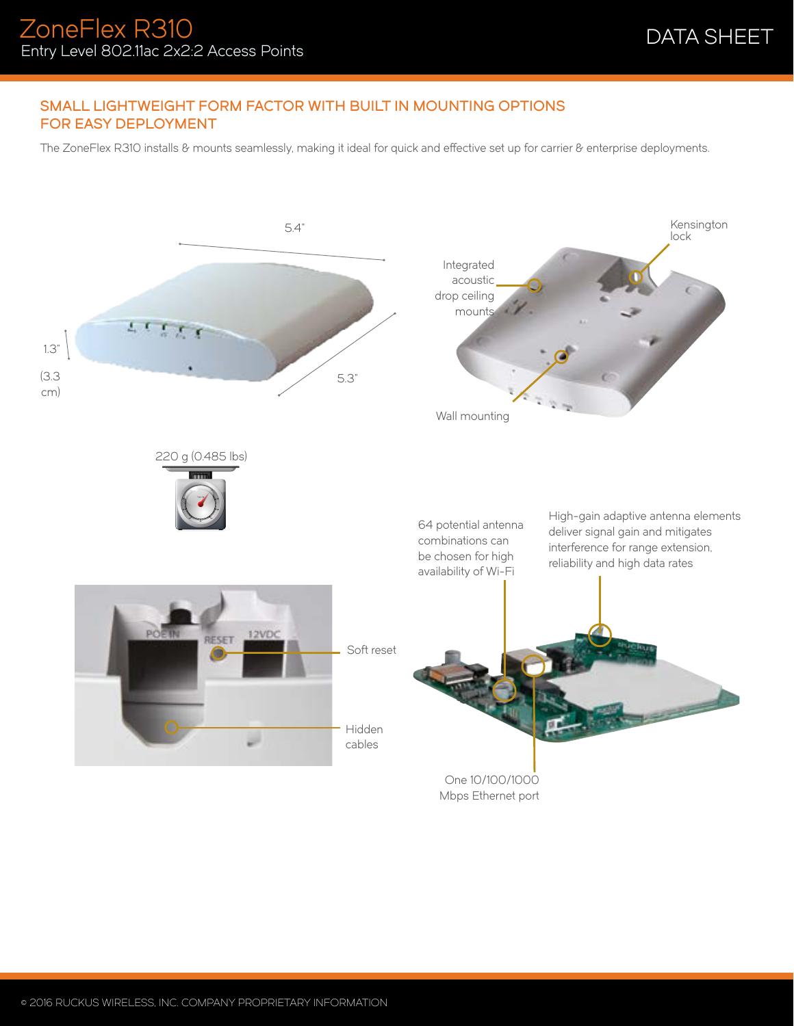## SMALL LIGHTWEIGHT FORM FACTOR WITH BUILT IN MOUNTING OPTIONS FOR EASY DEPLOYMENT

The ZoneFlex R310 installs & mounts seamlessly, making it ideal for quick and effective set up for carrier & enterprise deployments.